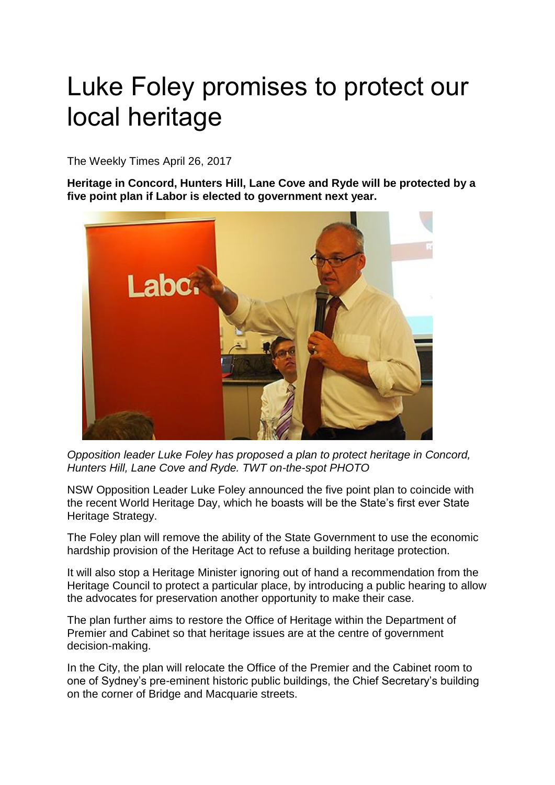## Luke Foley promises to protect our local heritage

The Weekly Times April 26, 2017

**Heritage in Concord, Hunters Hill, Lane Cove and Ryde will be protected by a five point plan if Labor is elected to government next year.**



*Opposition leader Luke Foley has proposed a plan to protect heritage in Concord, Hunters Hill, Lane Cove and Ryde. TWT on-the-spot PHOTO*

NSW Opposition Leader Luke Foley announced the five point plan to coincide with the recent World Heritage Day, which he boasts will be the State's first ever State Heritage Strategy.

The Foley plan will remove the ability of the State Government to use the economic hardship provision of the Heritage Act to refuse a building heritage protection.

It will also stop a Heritage Minister ignoring out of hand a recommendation from the Heritage Council to protect a particular place, by introducing a public hearing to allow the advocates for preservation another opportunity to make their case.

The plan further aims to restore the Office of Heritage within the Department of Premier and Cabinet so that heritage issues are at the centre of government decision-making.

In the City, the plan will relocate the Office of the Premier and the Cabinet room to one of Sydney's pre-eminent historic public buildings, the Chief Secretary's building on the corner of Bridge and Macquarie streets.